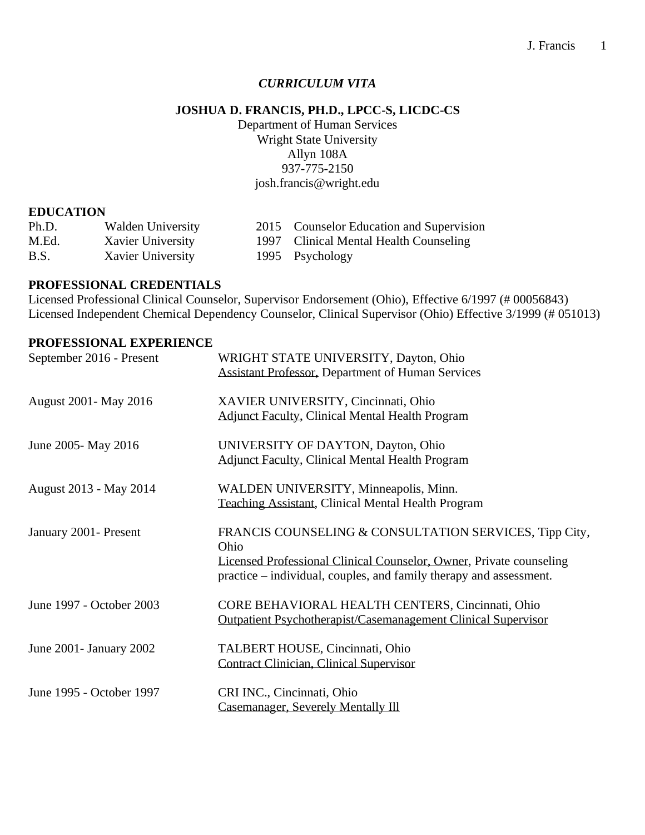## *CURRICULUM VITA*

# **JOSHUA D. FRANCIS, PH.D., LPCC-S, LICDC-CS**

Department of Human Services Wright State University Allyn 108A 937-775-2150 josh.francis@wright.edu

#### **EDUCATION**

| Ph.D. | Walden University | 2015 Counselor Education and Supervision |
|-------|-------------------|------------------------------------------|
| M.Ed. | Xavier University | 1997 Clinical Mental Health Counseling   |
| B.S.  | Xavier University | 1995 Psychology                          |

### **PROFESSIONAL CREDENTIALS**

Licensed Professional Clinical Counselor, Supervisor Endorsement (Ohio), Effective 6/1997 (# 00056843) Licensed Independent Chemical Dependency Counselor, Clinical Supervisor (Ohio) Effective 3/1999 (# 051013)

### **PROFESSIONAL EXPERIENCE**

| September 2016 - Present | WRIGHT STATE UNIVERSITY, Dayton, Ohio<br><b>Assistant Professor, Department of Human Services</b>                                                                                                           |
|--------------------------|-------------------------------------------------------------------------------------------------------------------------------------------------------------------------------------------------------------|
| August 2001 - May 2016   | XAVIER UNIVERSITY, Cincinnati, Ohio<br><b>Adjunct Faculty, Clinical Mental Health Program</b>                                                                                                               |
| June 2005- May 2016      | UNIVERSITY OF DAYTON, Dayton, Ohio<br><b>Adjunct Faculty, Clinical Mental Health Program</b>                                                                                                                |
| August 2013 - May 2014   | WALDEN UNIVERSITY, Minneapolis, Minn.<br>Teaching Assistant, Clinical Mental Health Program                                                                                                                 |
| January 2001 - Present   | FRANCIS COUNSELING & CONSULTATION SERVICES, Tipp City,<br>Ohio<br>Licensed Professional Clinical Counselor, Owner, Private counseling<br>practice – individual, couples, and family therapy and assessment. |
| June 1997 - October 2003 | CORE BEHAVIORAL HEALTH CENTERS, Cincinnati, Ohio<br>Outpatient Psychotherapist/Casemanagement Clinical Supervisor                                                                                           |
| June 2001 - January 2002 | TALBERT HOUSE, Cincinnati, Ohio<br>Contract Clinician, Clinical Supervisor                                                                                                                                  |
| June 1995 - October 1997 | CRI INC., Cincinnati, Ohio<br>Casemanager, Severely Mentally Ill                                                                                                                                            |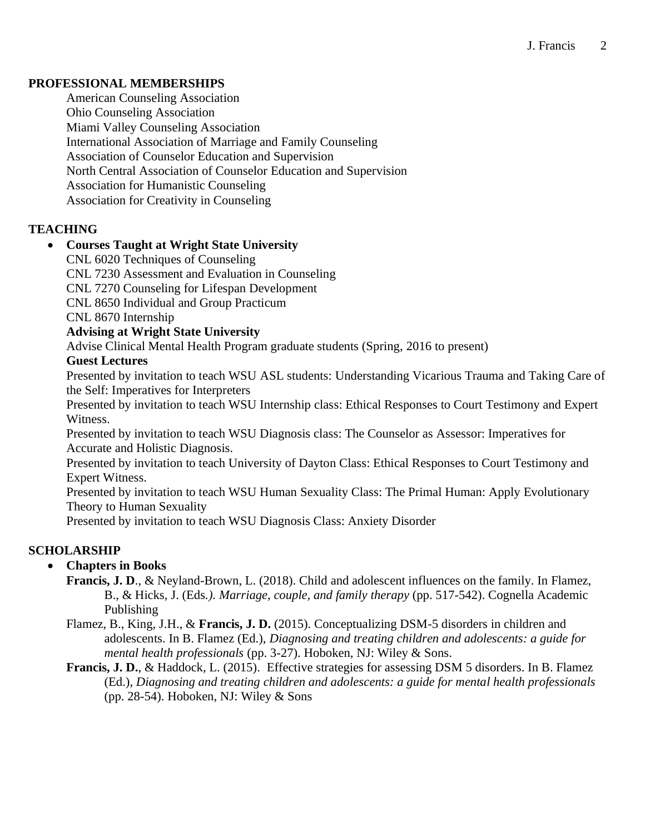## **PROFESSIONAL MEMBERSHIPS**

American Counseling Association Ohio Counseling Association Miami Valley Counseling Association International Association of Marriage and Family Counseling Association of Counselor Education and Supervision North Central Association of Counselor Education and Supervision Association for Humanistic Counseling Association for Creativity in Counseling

## **TEACHING**

## • **Courses Taught at Wright State University**

CNL 6020 Techniques of Counseling CNL 7230 Assessment and Evaluation in Counseling CNL 7270 Counseling for Lifespan Development CNL 8650 Individual and Group Practicum CNL 8670 Internship

**Advising at Wright State University**

Advise Clinical Mental Health Program graduate students (Spring, 2016 to present)

## **Guest Lectures**

Presented by invitation to teach WSU ASL students: Understanding Vicarious Trauma and Taking Care of the Self: Imperatives for Interpreters

Presented by invitation to teach WSU Internship class: Ethical Responses to Court Testimony and Expert Witness.

Presented by invitation to teach WSU Diagnosis class: The Counselor as Assessor: Imperatives for Accurate and Holistic Diagnosis.

Presented by invitation to teach University of Dayton Class: Ethical Responses to Court Testimony and Expert Witness.

Presented by invitation to teach WSU Human Sexuality Class: The Primal Human: Apply Evolutionary Theory to Human Sexuality

Presented by invitation to teach WSU Diagnosis Class: Anxiety Disorder

# **SCHOLARSHIP**

## • **Chapters in Books**

- **Francis, J. D**., & Neyland-Brown, L. (2018). Child and adolescent influences on the family. In Flamez, B., & Hicks, J. (Eds*.). Marriage, couple, and family therapy* (pp. 517-542). Cognella Academic Publishing
- Flamez, B., King, J.H., & **Francis, J. D.** (2015). Conceptualizing DSM-5 disorders in children and adolescents. In B. Flamez (Ed.), *Diagnosing and treating children and adolescents: a guide for mental health professionals* (pp. 3-27). Hoboken, NJ: Wiley & Sons.
- **Francis, J. D.**, & Haddock, L. (2015). Effective strategies for assessing DSM 5 disorders. In B. Flamez (Ed.), *Diagnosing and treating children and adolescents: a guide for mental health professionals* (pp. 28-54). Hoboken, NJ: Wiley & Sons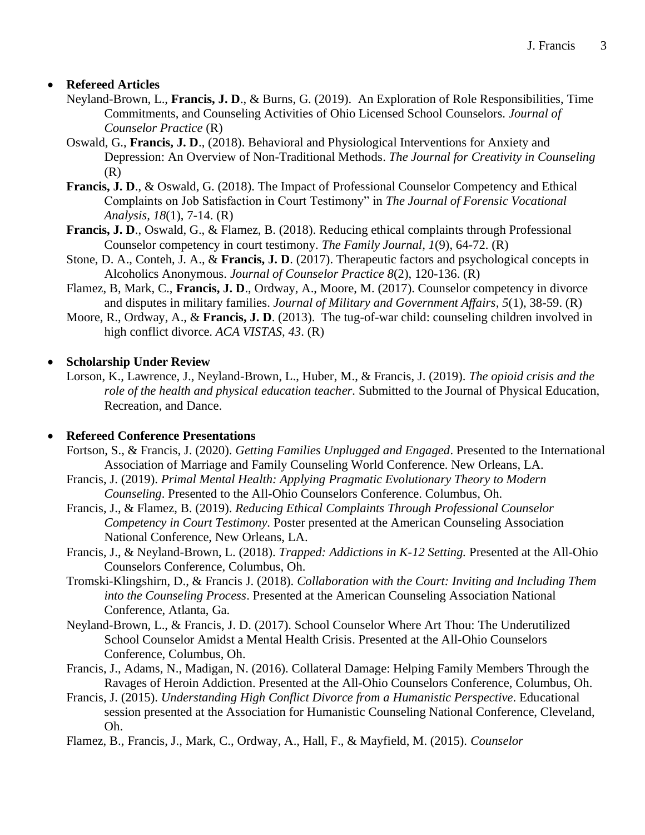# • **Refereed Articles**

- Neyland-Brown, L., **Francis, J. D**., & Burns, G. (2019). An Exploration of Role Responsibilities, Time Commitments, and Counseling Activities of Ohio Licensed School Counselors. *Journal of Counselor Practice* (R)
- Oswald, G., **Francis, J. D**., (2018). Behavioral and Physiological Interventions for Anxiety and Depression: An Overview of Non-Traditional Methods. *The Journal for Creativity in Counseling* (R)
- **Francis, J. D**., & Oswald, G. (2018). The Impact of Professional Counselor Competency and Ethical Complaints on Job Satisfaction in Court Testimony" in *The Journal of Forensic Vocational Analysis, 18*(1), 7-14. (R)
- **Francis, J. D**., Oswald, G., & Flamez, B. (2018). Reducing ethical complaints through Professional Counselor competency in court testimony. *The Family Journal, 1*(9), 64-72. (R)
- Stone, D. A., Conteh, J. A., & **Francis, J. D**. (2017). Therapeutic factors and psychological concepts in Alcoholics Anonymous. *Journal of Counselor Practice 8*(2), 120-136. (R)
- Flamez, B, Mark, C., **Francis, J. D**., Ordway, A., Moore, M. (2017). Counselor competency in divorce and disputes in military families. *Journal of Military and Government Affairs, 5*(1), 38-59. (R)
- Moore, R., Ordway, A., & **Francis, J. D**. (2013). The tug-of-war child: counseling children involved in high conflict divorce. *ACA VISTAS, 43*. (R)

# • **Scholarship Under Review**

Lorson, K., Lawrence, J., Neyland-Brown, L., Huber, M., & Francis, J. (2019). *The opioid crisis and the role of the health and physical education teacher.* Submitted to the Journal of Physical Education, Recreation, and Dance.

## • **Refereed Conference Presentations**

- Fortson, S., & Francis, J. (2020). *Getting Families Unplugged and Engaged*. Presented to the International Association of Marriage and Family Counseling World Conference. New Orleans, LA.
- Francis, J. (2019). *Primal Mental Health: Applying Pragmatic Evolutionary Theory to Modern Counseling*. Presented to the All-Ohio Counselors Conference. Columbus, Oh.
- Francis, J., & Flamez, B. (2019). *Reducing Ethical Complaints Through Professional Counselor Competency in Court Testimony.* Poster presented at the American Counseling Association National Conference, New Orleans, LA.
- Francis, J., & Neyland-Brown, L. (2018). *Trapped: Addictions in K-12 Setting.* Presented at the All-Ohio Counselors Conference, Columbus, Oh.
- Tromski-Klingshirn, D., & Francis J. (2018). *Collaboration with the Court: Inviting and Including Them into the Counseling Process*. Presented at the American Counseling Association National Conference, Atlanta, Ga.
- Neyland-Brown, L., & Francis, J. D. (2017). School Counselor Where Art Thou: The Underutilized School Counselor Amidst a Mental Health Crisis. Presented at the All-Ohio Counselors Conference, Columbus, Oh.
- Francis, J., Adams, N., Madigan, N. (2016). Collateral Damage: Helping Family Members Through the Ravages of Heroin Addiction. Presented at the All-Ohio Counselors Conference, Columbus, Oh.
- Francis, J. (2015). *Understanding High Conflict Divorce from a Humanistic Perspective*. Educational session presented at the Association for Humanistic Counseling National Conference, Cleveland, Oh.
- Flamez, B., Francis, J., Mark, C., Ordway, A., Hall, F., & Mayfield, M. (2015). *Counselor*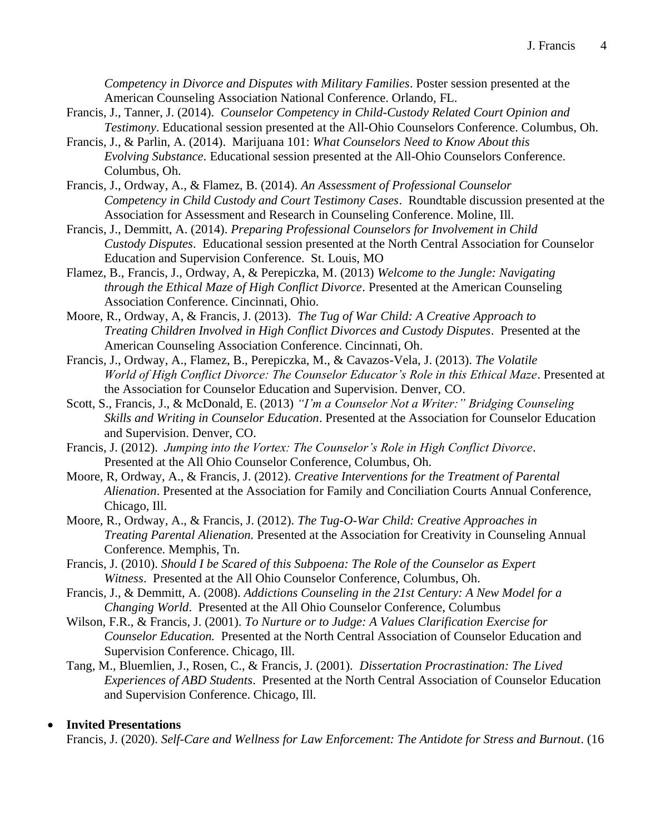*Competency in Divorce and Disputes with Military Families*. Poster session presented at the American Counseling Association National Conference. Orlando, FL.

- Francis, J., Tanner, J. (2014). *Counselor Competency in Child-Custody Related Court Opinion and Testimony*. Educational session presented at the All-Ohio Counselors Conference. Columbus, Oh.
- Francis, J., & Parlin, A. (2014). Marijuana 101: *What Counselors Need to Know About this Evolving Substance*. Educational session presented at the All-Ohio Counselors Conference. Columbus, Oh.
- Francis, J., Ordway, A., & Flamez, B. (2014). *An Assessment of Professional Counselor Competency in Child Custody and Court Testimony Cases*. Roundtable discussion presented at the Association for Assessment and Research in Counseling Conference. Moline, Ill.
- Francis, J., Demmitt, A. (2014). *Preparing Professional Counselors for Involvement in Child Custody Disputes*. Educational session presented at the North Central Association for Counselor Education and Supervision Conference. St. Louis, MO
- Flamez, B., Francis, J., Ordway, A, & Perepiczka, M. (2013) *Welcome to the Jungle: Navigating through the Ethical Maze of High Conflict Divorce*. Presented at the American Counseling Association Conference. Cincinnati, Ohio.
- Moore, R., Ordway, A, & Francis, J. (2013). *The Tug of War Child: A Creative Approach to Treating Children Involved in High Conflict Divorces and Custody Disputes*. Presented at the American Counseling Association Conference. Cincinnati, Oh.
- Francis, J., Ordway, A., Flamez, B., Perepiczka, M., & Cavazos-Vela, J. (2013). *The Volatile World of High Conflict Divorce: The Counselor Educator's Role in this Ethical Maze*. Presented at the Association for Counselor Education and Supervision. Denver, CO.
- Scott, S., Francis, J., & McDonald, E. (2013) *"I'm a Counselor Not a Writer:" Bridging Counseling Skills and Writing in Counselor Education*. Presented at the Association for Counselor Education and Supervision. Denver, CO.
- Francis, J. (2012). *Jumping into the Vortex: The Counselor's Role in High Conflict Divorce*. Presented at the All Ohio Counselor Conference, Columbus, Oh.
- Moore, R, Ordway, A., & Francis, J. (2012). *Creative Interventions for the Treatment of Parental Alienation*. Presented at the Association for Family and Conciliation Courts Annual Conference, Chicago, Ill.
- Moore, R., Ordway, A., & Francis, J. (2012). *The Tug-O-War Child: Creative Approaches in Treating Parental Alienation.* Presented at the Association for Creativity in Counseling Annual Conference. Memphis, Tn.
- Francis, J. (2010). *Should I be Scared of this Subpoena: The Role of the Counselor as Expert Witness*. Presented at the All Ohio Counselor Conference, Columbus, Oh.
- Francis, J., & Demmitt, A. (2008). *Addictions Counseling in the 21st Century: A New Model for a Changing World*. Presented at the All Ohio Counselor Conference, Columbus
- Wilson, F.R., & Francis, J. (2001). *To Nurture or to Judge: A Values Clarification Exercise for Counselor Education.* Presented at the North Central Association of Counselor Education and Supervision Conference. Chicago, Ill.
- Tang, M., Bluemlien, J., Rosen, C., & Francis, J. (2001). *Dissertation Procrastination: The Lived Experiences of ABD Students*. Presented at the North Central Association of Counselor Education and Supervision Conference. Chicago, Ill.

## • **Invited Presentations**

Francis, J. (2020). *Self-Care and Wellness for Law Enforcement: The Antidote for Stress and Burnout*. (16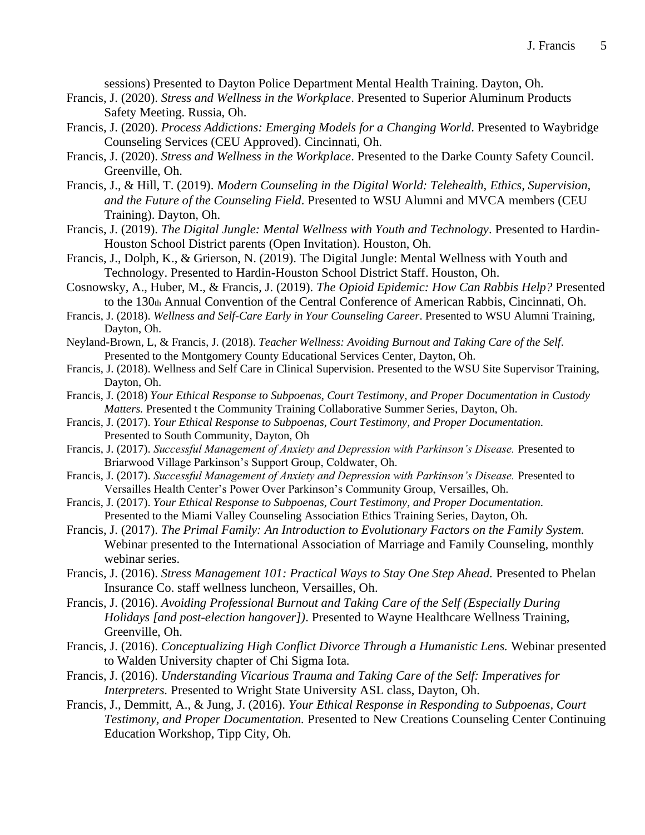sessions) Presented to Dayton Police Department Mental Health Training. Dayton, Oh.

- Francis, J. (2020). *Stress and Wellness in the Workplace*. Presented to Superior Aluminum Products Safety Meeting. Russia, Oh.
- Francis, J. (2020). *Process Addictions: Emerging Models for a Changing World*. Presented to Waybridge Counseling Services (CEU Approved). Cincinnati, Oh.
- Francis, J. (2020). *Stress and Wellness in the Workplace*. Presented to the Darke County Safety Council. Greenville, Oh.
- Francis, J., & Hill, T. (2019). *Modern Counseling in the Digital World: Telehealth, Ethics, Supervision, and the Future of the Counseling Field*. Presented to WSU Alumni and MVCA members (CEU Training). Dayton, Oh.
- Francis, J. (2019). *The Digital Jungle: Mental Wellness with Youth and Technology*. Presented to Hardin-Houston School District parents (Open Invitation). Houston, Oh.
- Francis, J., Dolph, K., & Grierson, N. (2019). The Digital Jungle: Mental Wellness with Youth and Technology. Presented to Hardin-Houston School District Staff. Houston, Oh.
- Cosnowsky, A., Huber, M., & Francis, J. (2019). *The Opioid Epidemic: How Can Rabbis Help?* Presented to the 130th Annual Convention of the Central Conference of American Rabbis, Cincinnati, Oh.
- Francis, J. (2018). *Wellness and Self-Care Early in Your Counseling Career*. Presented to WSU Alumni Training, Dayton, Oh.
- Neyland-Brown, L, & Francis, J. (2018). *Teacher Wellness: Avoiding Burnout and Taking Care of the Self*. Presented to the Montgomery County Educational Services Center, Dayton, Oh.
- Francis, J. (2018). Wellness and Self Care in Clinical Supervision. Presented to the WSU Site Supervisor Training, Dayton, Oh.
- Francis, J. (2018) *Your Ethical Response to Subpoenas, Court Testimony, and Proper Documentation in Custody Matters.* Presented t the Community Training Collaborative Summer Series, Dayton, Oh.
- Francis, J. (2017). *Your Ethical Response to Subpoenas, Court Testimony, and Proper Documentation.*  Presented to South Community, Dayton, Oh
- Francis, J. (2017). *Successful Management of Anxiety and Depression with Parkinson's Disease.* Presented to Briarwood Village Parkinson's Support Group, Coldwater, Oh.
- Francis, J. (2017). *Successful Management of Anxiety and Depression with Parkinson's Disease.* Presented to Versailles Health Center's Power Over Parkinson's Community Group, Versailles, Oh.
- Francis, J. (2017). *Your Ethical Response to Subpoenas, Court Testimony, and Proper Documentation.*  Presented to the Miami Valley Counseling Association Ethics Training Series, Dayton, Oh.
- Francis, J. (2017). *The Primal Family: An Introduction to Evolutionary Factors on the Family System.*  Webinar presented to the International Association of Marriage and Family Counseling, monthly webinar series.
- Francis, J. (2016). *Stress Management 101: Practical Ways to Stay One Step Ahead.* Presented to Phelan Insurance Co. staff wellness luncheon, Versailles, Oh.
- Francis, J. (2016). *Avoiding Professional Burnout and Taking Care of the Self (Especially During Holidays [and post-election hangover])*. Presented to Wayne Healthcare Wellness Training, Greenville, Oh.
- Francis, J. (2016). *Conceptualizing High Conflict Divorce Through a Humanistic Lens.* Webinar presented to Walden University chapter of Chi Sigma Iota.
- Francis, J. (2016). *Understanding Vicarious Trauma and Taking Care of the Self: Imperatives for Interpreters.* Presented to Wright State University ASL class, Dayton, Oh.
- Francis, J., Demmitt, A., & Jung, J. (2016). *Your Ethical Response in Responding to Subpoenas, Court Testimony, and Proper Documentation.* Presented to New Creations Counseling Center Continuing Education Workshop, Tipp City, Oh.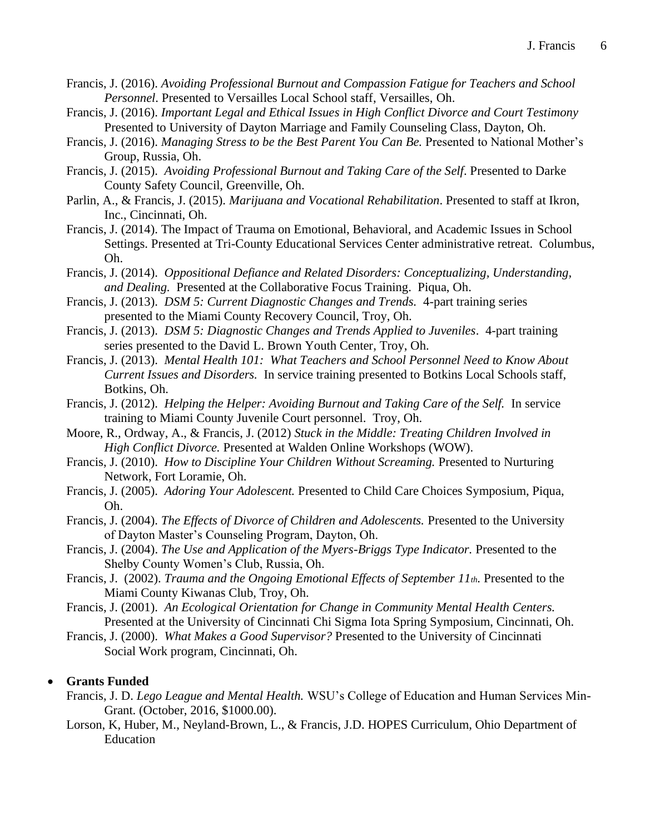- Francis, J. (2016). *Avoiding Professional Burnout and Compassion Fatigue for Teachers and School Personnel*. Presented to Versailles Local School staff, Versailles, Oh.
- Francis, J. (2016). *Important Legal and Ethical Issues in High Conflict Divorce and Court Testimony* Presented to University of Dayton Marriage and Family Counseling Class, Dayton, Oh.
- Francis, J. (2016). *Managing Stress to be the Best Parent You Can Be.* Presented to National Mother's Group, Russia, Oh.
- Francis, J. (2015). *Avoiding Professional Burnout and Taking Care of the Self*. Presented to Darke County Safety Council, Greenville, Oh.
- Parlin, A., & Francis, J. (2015). *Marijuana and Vocational Rehabilitation*. Presented to staff at Ikron, Inc., Cincinnati, Oh.
- Francis, J. (2014). The Impact of Trauma on Emotional, Behavioral, and Academic Issues in School Settings. Presented at Tri-County Educational Services Center administrative retreat. Columbus, Oh.
- Francis, J. (2014). *Oppositional Defiance and Related Disorders: Conceptualizing, Understanding, and Dealing.* Presented at the Collaborative Focus Training. Piqua, Oh.
- Francis, J. (2013). *DSM 5: Current Diagnostic Changes and Trends.* 4-part training series presented to the Miami County Recovery Council, Troy, Oh.
- Francis, J. (2013). *DSM 5: Diagnostic Changes and Trends Applied to Juveniles*. 4-part training series presented to the David L. Brown Youth Center, Troy, Oh.
- Francis, J. (2013). *Mental Health 101: What Teachers and School Personnel Need to Know About Current Issues and Disorders.* In service training presented to Botkins Local Schools staff, Botkins, Oh.
- Francis, J. (2012). *Helping the Helper: Avoiding Burnout and Taking Care of the Self.* In service training to Miami County Juvenile Court personnel. Troy, Oh.
- Moore, R., Ordway, A., & Francis, J. (2012) *Stuck in the Middle: Treating Children Involved in High Conflict Divorce.* Presented at Walden Online Workshops (WOW).
- Francis, J. (2010). *How to Discipline Your Children Without Screaming.* Presented to Nurturing Network, Fort Loramie, Oh.
- Francis, J. (2005). *Adoring Your Adolescent.* Presented to Child Care Choices Symposium, Piqua, Oh.
- Francis, J. (2004). *The Effects of Divorce of Children and Adolescents.* Presented to the University of Dayton Master's Counseling Program, Dayton, Oh.
- Francis, J. (2004). *The Use and Application of the Myers-Briggs Type Indicator.* Presented to the Shelby County Women's Club, Russia, Oh.
- Francis, J. (2002). *Trauma and the Ongoing Emotional Effects of September 11th.* Presented to the Miami County Kiwanas Club, Troy, Oh.
- Francis, J. (2001). *An Ecological Orientation for Change in Community Mental Health Centers.*  Presented at the University of Cincinnati Chi Sigma Iota Spring Symposium, Cincinnati, Oh.
- Francis, J. (2000). *What Makes a Good Supervisor?* Presented to the University of Cincinnati Social Work program, Cincinnati, Oh.

#### • **Grants Funded**

- Francis, J. D. *Lego League and Mental Health.* WSU's College of Education and Human Services Min-Grant. (October, 2016, \$1000.00).
- Lorson, K, Huber, M., Neyland-Brown, L., & Francis, J.D. HOPES Curriculum, Ohio Department of Education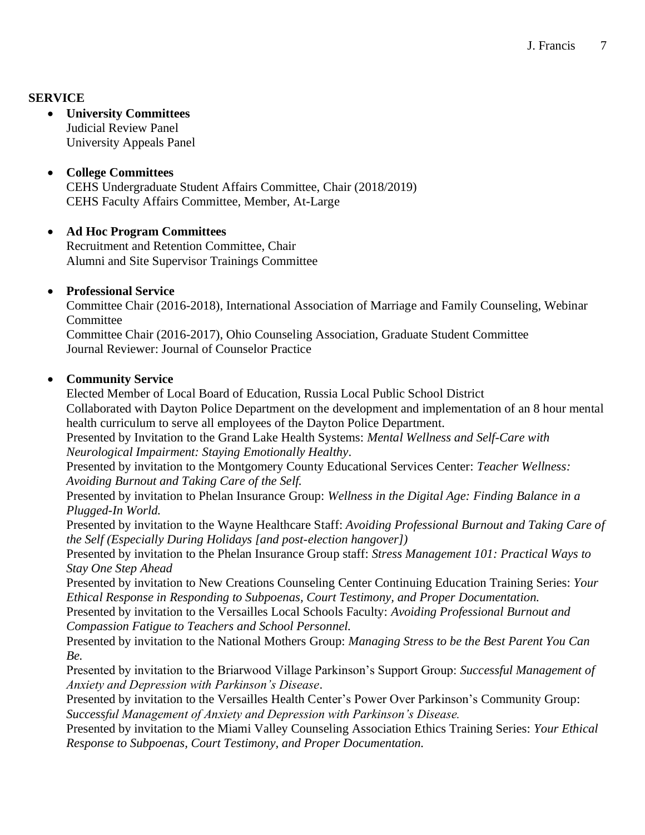# **SERVICE**

#### • **University Committees** Judicial Review Panel University Appeals Panel

# • **College Committees** CEHS Undergraduate Student Affairs Committee, Chair (2018/2019) CEHS Faculty Affairs Committee, Member, At-Large

## • **Ad Hoc Program Committees**

Recruitment and Retention Committee, Chair Alumni and Site Supervisor Trainings Committee

## • **Professional Service**

Committee Chair (2016-2018), International Association of Marriage and Family Counseling, Webinar **Committee** Committee Chair (2016-2017), Ohio Counseling Association, Graduate Student Committee

Journal Reviewer: Journal of Counselor Practice

## • **Community Service**

Elected Member of Local Board of Education, Russia Local Public School District Collaborated with Dayton Police Department on the development and implementation of an 8 hour mental health curriculum to serve all employees of the Dayton Police Department.

Presented by Invitation to the Grand Lake Health Systems: *Mental Wellness and Self-Care with Neurological Impairment: Staying Emotionally Healthy*.

Presented by invitation to the Montgomery County Educational Services Center: *Teacher Wellness: Avoiding Burnout and Taking Care of the Self.*

Presented by invitation to Phelan Insurance Group: *Wellness in the Digital Age: Finding Balance in a Plugged-In World.* 

Presented by invitation to the Wayne Healthcare Staff: *Avoiding Professional Burnout and Taking Care of the Self (Especially During Holidays [and post-election hangover])*

Presented by invitation to the Phelan Insurance Group staff: *Stress Management 101: Practical Ways to Stay One Step Ahead* 

Presented by invitation to New Creations Counseling Center Continuing Education Training Series: *Your Ethical Response in Responding to Subpoenas, Court Testimony, and Proper Documentation.*

Presented by invitation to the Versailles Local Schools Faculty: *Avoiding Professional Burnout and Compassion Fatigue to Teachers and School Personnel.*

Presented by invitation to the National Mothers Group: *Managing Stress to be the Best Parent You Can Be.* 

Presented by invitation to the Briarwood Village Parkinson's Support Group: *Successful Management of Anxiety and Depression with Parkinson's Disease*.

Presented by invitation to the Versailles Health Center's Power Over Parkinson's Community Group: *Successful Management of Anxiety and Depression with Parkinson's Disease.* 

Presented by invitation to the Miami Valley Counseling Association Ethics Training Series: *Your Ethical Response to Subpoenas, Court Testimony, and Proper Documentation.*